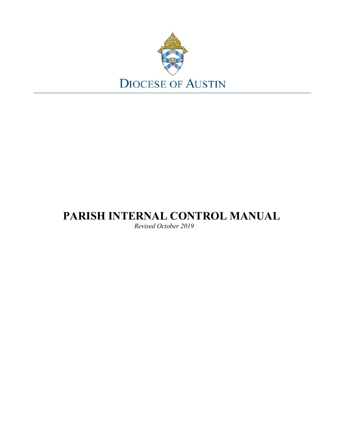

# **PARISH INTERNAL CONTROL MANUAL**

*Revised October 2019*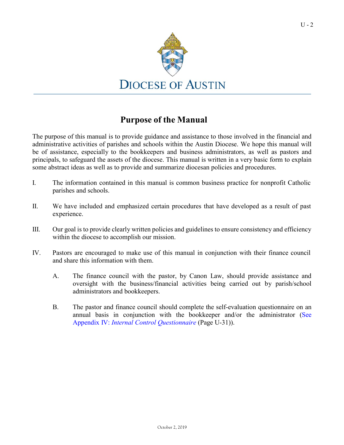

# **Purpose of the Manual**

The purpose of this manual is to provide guidance and assistance to those involved in the financial and administrative activities of parishes and schools within the Austin Diocese. We hope this manual will be of assistance, especially to the bookkeepers and business administrators, as well as pastors and principals, to safeguard the assets of the diocese. This manual is written in a very basic form to explain some abstract ideas as well as to provide and summarize diocesan policies and procedures.

- I. The information contained in this manual is common business practice for nonprofit Catholic parishes and schools.
- II. We have included and emphasized certain procedures that have developed as a result of past experience.
- III. Our goal is to provide clearly written policies and guidelines to ensure consistency and efficiency within the diocese to accomplish our mission.
- IV. Pastors are encouraged to make use of this manual in conjunction with their finance council and share this information with them.
	- A. The finance council with the pastor, by Canon Law, should provide assistance and oversight with the business/financial activities being carried out by parish/school administrators and bookkeepers.
	- B. The pastor and finance council should complete the self-evaluation questionnaire on an annual basis in conjunction with the bookkeeper and/or the administrator [\(See](#page-29-0) Appendix IV: *[Internal Control Questionnaire](#page-29-0)* (Page U-31)).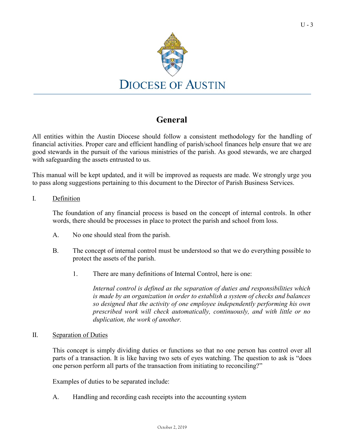

# **General**

All entities within the Austin Diocese should follow a consistent methodology for the handling of financial activities. Proper care and efficient handling of parish/school finances help ensure that we are good stewards in the pursuit of the various ministries of the parish. As good stewards, we are charged with safeguarding the assets entrusted to us.

This manual will be kept updated, and it will be improved as requests are made. We strongly urge you to pass along suggestions pertaining to this document to the Director of Parish Business Services.

### I. Definition

The foundation of any financial process is based on the concept of internal controls. In other words, there should be processes in place to protect the parish and school from loss.

- A. No one should steal from the parish.
- B. The concept of internal control must be understood so that we do everything possible to protect the assets of the parish.
	- 1. There are many definitions of Internal Control, here is one:

*Internal control is defined as the separation of duties and responsibilities which is made by an organization in order to establish a system of checks and balances so designed that the activity of one employee independently performing his own prescribed work will check automatically, continuously, and with little or no duplication, the work of another.*

### II. Separation of Duties

This concept is simply dividing duties or functions so that no one person has control over all parts of a transaction. It is like having two sets of eyes watching. The question to ask is "does one person perform all parts of the transaction from initiating to reconciling?"

Examples of duties to be separated include:

A. Handling and recording cash receipts into the accounting system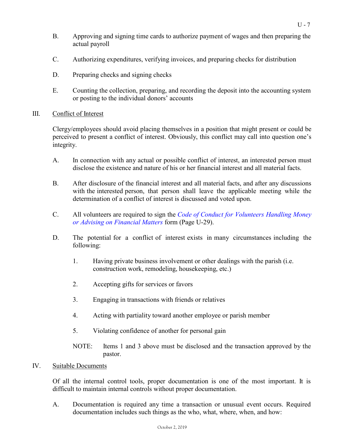- B. Approving and signing time cards to authorize payment of wages and then preparing the actual payroll
- C. Authorizing expenditures, verifying invoices, and preparing checks for distribution
- D. Preparing checks and signing checks
- E. Counting the collection, preparing, and recording the deposit into the accounting system or posting to the individual donors' accounts

### III. Conflict of Interest

Clergy/employees should avoid placing themselves in a position that might present or could be perceived to present a conflict of interest. Obviously, this conflict may call into question one's integrity.

- A. In connection with any actual or possible conflict of interest, an interested person must disclose the existence and nature of his or her financial interest and all material facts.
- B. After disclosure of the financial interest and all material facts, and after any discussions with the interested person, that person shall leave the applicable meeting while the determination of a conflict of interest is discussed and voted upon.
- C. All volunteers are required to sign the *Code of Conduct for [Volunteers](#page-27-0) Handling Money [or Advising on Financial Matters](#page-27-0)* form (Page U-29).
- D. The potential for a conflict of interest exists in many circumstances including the following:
	- 1. Having private business involvement or other dealings with the parish (i.e. construction work, remodeling, housekeeping, etc.)
	- 2. Accepting gifts for services or favors
	- 3. Engaging in transactions with friends or relatives
	- 4. Acting with partiality toward another employee or parish member
	- 5. Violating confidence of another for personal gain
	- NOTE: Items 1 and 3 above must be disclosed and the transaction approved by the pastor.

## IV. Suitable Documents

Of all the internal control tools, proper documentation is one of the most important. It is difficult to maintain internal controls without proper documentation.

A. Documentation is required any time a transaction or unusual event occurs. Required documentation includes such things as the who, what, where, when, and how: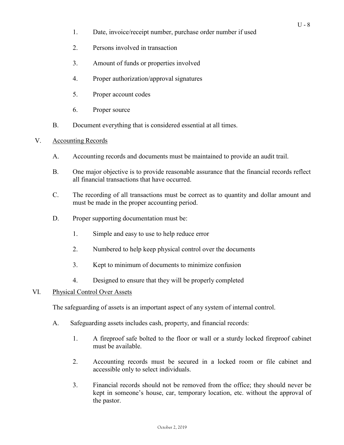- 1. Date, invoice/receipt number, purchase order number if used
- 2. Persons involved in transaction
- 3. Amount of funds or properties involved
- 4. Proper authorization/approval signatures
- 5. Proper account codes
- 6. Proper source
- B. Document everything that is considered essential at all times.

## V. Accounting Records

- A. Accounting records and documents must be maintained to provide an audit trail.
- B. One major objective is to provide reasonable assurance that the financial records reflect all financial transactions that have occurred.
- C. The recording of all transactions must be correct as to quantity and dollar amount and must be made in the proper accounting period.
- D. Proper supporting documentation must be:
	- 1. Simple and easy to use to help reduce error
	- 2. Numbered to help keep physical control over the documents
	- 3. Kept to minimum of documents to minimize confusion
	- 4. Designed to ensure that they will be properly completed

## VI. Physical Control Over Assets

The safeguarding of assets is an important aspect of any system of internal control.

- A. Safeguarding assets includes cash, property, and financial records:
	- 1. A fireproof safe bolted to the floor or wall or a sturdy locked fireproof cabinet must be available.
	- 2. Accounting records must be secured in a locked room or file cabinet and accessible only to select individuals.
	- 3. Financial records should not be removed from the office; they should never be kept in someone's house, car, temporary location, etc. without the approval of the pastor.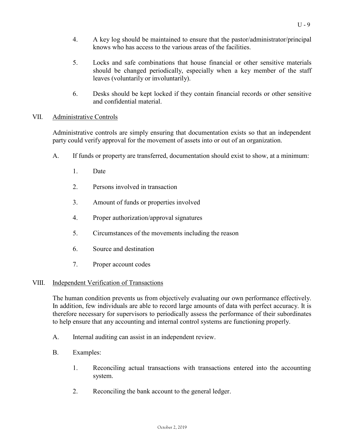- 4. A key log should be maintained to ensure that the pastor/administrator/principal knows who has access to the various areas of the facilities.
- 5. Locks and safe combinations that house financial or other sensitive materials should be changed periodically, especially when a key member of the staff leaves (voluntarily or involuntarily).
- 6. Desks should be kept locked if they contain financial records or other sensitive and confidential material.

## VII. Administrative Controls

Administrative controls are simply ensuring that documentation exists so that an independent party could verify approval for the movement of assets into or out of an organization.

- A. If funds or property are transferred, documentation should exist to show, at a minimum:
	- 1. Date
	- 2. Persons involved in transaction
	- 3. Amount of funds or properties involved
	- 4. Proper authorization/approval signatures
	- 5. Circumstances of the movements including the reason
	- 6. Source and destination
	- 7. Proper account codes

### VIII. Independent Verification of Transactions

The human condition prevents us from objectively evaluating our own performance effectively. In addition, few individuals are able to record large amounts of data with perfect accuracy. It is therefore necessary for supervisors to periodically assess the performance of their subordinates to help ensure that any accounting and internal control systems are functioning properly.

- A. Internal auditing can assist in an independent review.
- B. Examples:
	- 1. Reconciling actual transactions with transactions entered into the accounting system.
	- 2. Reconciling the bank account to the general ledger.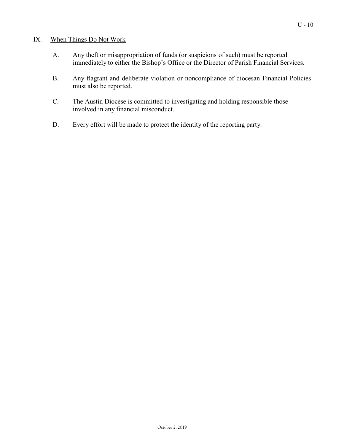### IX. When Things Do Not Work

- A. Any theft or misappropriation of funds (or suspicions of such) must be reported immediately to either the Bishop's Office or the Director of Parish Financial Services.
- B. Any flagrant and deliberate violation or noncompliance of diocesan Financial Policies must also be reported.
- C. The Austin Diocese is committed to investigating and holding responsible those involved in any financial misconduct.
- D. Every effort will be made to protect the identity of the reporting party.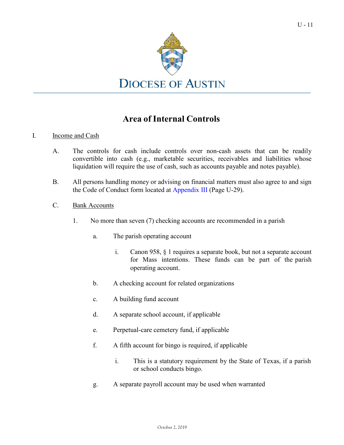

# **Area of Internal Controls**

### I. Income and Cash

- A. The controls for cash include controls over non-cash assets that can be readily convertible into cash (e.g., marketable securities, receivables and liabilities whose liquidation will require the use of cash, such as accounts payable and notes payable).
- B. All persons handling money or advising on financial matters must also agree to and sign the Code of Conduct form located at [Appendix](#page-27-0) III (Page U-29).
- <span id="page-7-0"></span>C. Bank Accounts
	- 1. No more than seven (7) checking accounts are recommended in a parish
		- a. The parish operating account
			- i. Canon 958, § 1 requires a separate book, but not a separate account for Mass intentions. These funds can be part of the parish operating account.
		- b. A checking account for related organizations
		- c. A building fund account
		- d. A separate school account, if applicable
		- e. Perpetual-care cemetery fund, if applicable
		- f. A fifth account for bingo is required, if applicable
			- i. This is a statutory requirement by the State of Texas, if a parish or school conducts bingo.
		- g. A separate payroll account may be used when warranted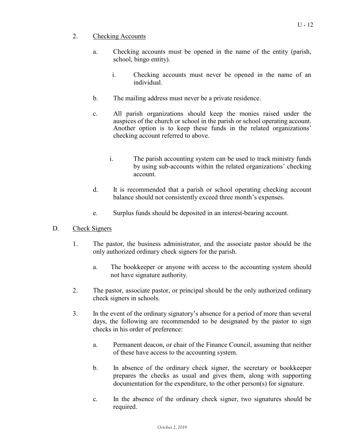- a. Checking accounts must be opened in the name of the entity (parish, school, bingo entity).
	- i. Checking accounts must never be opened in the name of an individual.
- b. The mailing address must never be a private residence.
- c. All parish organizations should keep the monies raised under the auspices of the church or school in the parish or school operating account. Another option is to keep these funds in the related organizations' checking account referred to above.
	- i. The parish accounting system can be used to track ministry funds by using sub-accounts within the related organizations' checking account.
- d. It is recommended that a parish or school operating checking account balance should not consistently exceed three month's expenses.
- e. Surplus funds should be deposited in an interest-bearing account.
- D. Check Signers
	- 1. The pastor, the business administrator, and the associate pastor should be the only authorized ordinary check signers for the parish.
		- a. The bookkeeper or anyone with access to the accounting system should not have signature authority.
	- 2. The pastor, associate pastor, or principal should be the only authorized ordinary check signers in schools.
	- 3. In the event of the ordinary signatory's absence for a period of more than several days, the following are recommended to be designated by the pastor to sign checks in his order of preference:
		- a. Permanent deacon, or chair of the Finance Council, assuming that neither of these have access to the accounting system.
		- b. In absence of the ordinary check signer, the secretary or bookkeeper prepares the checks as usual and gives them, along with supporting documentation for the expenditure, to the other person(s) for signature.
		- c. In the absence of the ordinary check signer, two signatures should be required.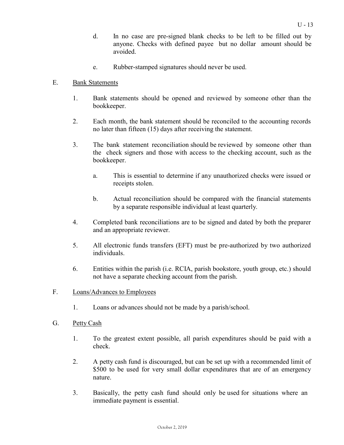- d. In no case are pre-signed blank checks to be left to be filled out by anyone. Checks with defined payee but no dollar amount should be avoided.
- e. Rubber-stamped signatures should never be used.

### E. Bank Statements

- 1. Bank statements should be opened and reviewed by someone other than the bookkeeper.
- 2. Each month, the bank statement should be reconciled to the accounting records no later than fifteen (15) days after receiving the statement.
- 3. The bank statement reconciliation should be reviewed by someone other than the check signers and those with access to the checking account, such as the bookkeeper.
	- a. This is essential to determine if any unauthorized checks were issued or receipts stolen.
	- b. Actual reconciliation should be compared with the financial statements by a separate responsible individual at least quarterly.
- 4. Completed bank reconciliations are to be signed and dated by both the preparer and an appropriate reviewer.
- 5. All electronic funds transfers (EFT) must be pre-authorized by two authorized individuals.
- 6. Entities within the parish (i.e. RCIA, parish bookstore, youth group, etc.) should not have a separate checking account from the parish.

### F. Loans/Advances to Employees

1. Loans or advances should not be made by a parish/school.

### <span id="page-9-0"></span>G. Petty Cash

- 1. To the greatest extent possible, all parish expenditures should be paid with a check.
- 2. A petty cash fund is discouraged, but can be set up with a recommended limit of \$500 to be used for very small dollar expenditures that are of an emergency nature.
- 3. Basically, the petty cash fund should only be used for situations where an immediate payment is essential.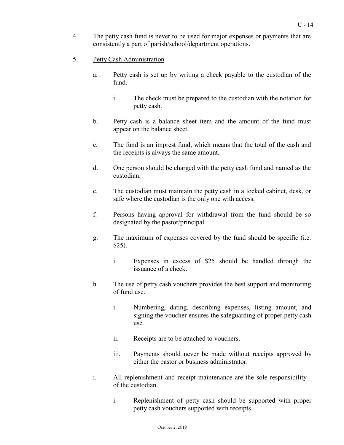- 4. The petty cash fund is never to be used for major expenses or payments that are consistently a part of parish/school/department operations.
- 5. Petty Cash Administration
	- a. Petty cash is set up by writing a check payable to the custodian of the fund.
		- i. The check must be prepared to the custodian with the notation for petty cash.
	- b. Petty cash is a balance sheet item and the amount of the fund must appear on the balance sheet.
	- c. The fund is an imprest fund, which means that the total of the cash and the receipts is always the same amount.
	- d. One person should be charged with the petty cash fund and named as the custodian.
	- e. The custodian must maintain the petty cash in a locked cabinet, desk, or safe where the custodian is the only one with access.
	- f. Persons having approval for withdrawal from the fund should be so designated by the pastor/principal.
	- g. The maximum of expenses covered by the fund should be specific (i.e. \$25).
		- i. Expenses in excess of \$25 should be handled through the issuance of a check.
	- h. The use of petty cash vouchers provides the best support and monitoring of fund use.
		- i. Numbering, dating, describing expenses, listing amount, and signing the voucher ensures the safeguarding of proper petty cash use.
		- ii. Receipts are to be attached to vouchers.
		- iii. Payments should never be made without receipts approved by either the pastor or business administrator.
	- i. All replenishment and receipt maintenance are the sole responsibility of the custodian.
		- i. Replenishment of petty cash should be supported with proper petty cash vouchers supported with receipts.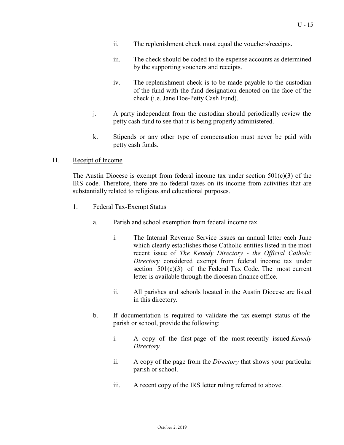- ii. The replenishment check must equal the vouchers/receipts.
- iii. The check should be coded to the expense accounts as determined by the supporting vouchers and receipts.
- iv. The replenishment check is to be made payable to the custodian of the fund with the fund designation denoted on the face of the check (i.e. Jane Doe-Petty Cash Fund).
- j. A party independent from the custodian should periodically review the petty cash fund to see that it is being properly administered.
- k. Stipends or any other type of compensation must never be paid with petty cash funds.

### H. Receipt of Income

The Austin Diocese is exempt from federal income tax under section  $501(c)(3)$  of the IRS code. Therefore, there are no federal taxes on its income from activities that are substantially related to religious and educational purposes.

- 1. Federal Tax-Exempt Status
	- a. Parish and school exemption from federal income tax
		- i. The Internal Revenue Service issues an annual letter each June which clearly establishes those Catholic entities listed in the most recent issue of *The Kenedy Directory - the Official Catholic Directory* considered exempt from federal income tax under section  $501(c)(3)$  of the Federal Tax Code. The most current letter is available through the diocesan finance office.
		- ii. All parishes and schools located in the Austin Diocese are listed in this directory.
	- b. If documentation is required to validate the tax-exempt status of the parish or school, provide the following:
		- i. A copy of the first page of the most recently issued *Kenedy Directory.*
		- ii. A copy of the page from the *Directory* that shows your particular parish or school.
		- iii. A recent copy of the IRS letter ruling referred to above.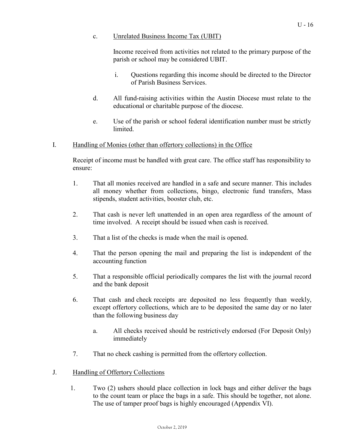Income received from activities not related to the primary purpose of the parish or school may be considered UBIT.

- i. Questions regarding this income should be directed to the Director of Parish Business Services.
- d. All fund-raising activities within the Austin Diocese must relate to the educational or charitable purpose of the diocese.
- e. Use of the parish or school federal identification number must be strictly limited.

## I. Handling of Monies (other than offertory collections) in the Office

Receipt of income must be handled with great care. The office staff has responsibility to ensure:

- 1. That all monies received are handled in a safe and secure manner. This includes all money whether from collections, bingo, electronic fund transfers, Mass stipends, student activities, booster club, etc.
- 2. That cash is never left unattended in an open area regardless of the amount of time involved. A receipt should be issued when cash is received.
- 3. That a list of the checks is made when the mail is opened.
- 4. That the person opening the mail and preparing the list is independent of the accounting function
- 5. That a responsible official periodically compares the list with the journal record and the bank deposit
- 6. That cash and check receipts are deposited no less frequently than weekly, except offertory collections, which are to be deposited the same day or no later than the following business day
	- a. All checks received should be restrictively endorsed (For Deposit Only) immediately
- 7. That no check cashing is permitted from the offertory collection.
- J. Handling of Offertory Collections
	- 1. Two (2) ushers should place collection in lock bags and either deliver the bags to the count team or place the bags in a safe. This should be together, not alone. The use of tamper proof bags is highly encouraged (Appendix VI).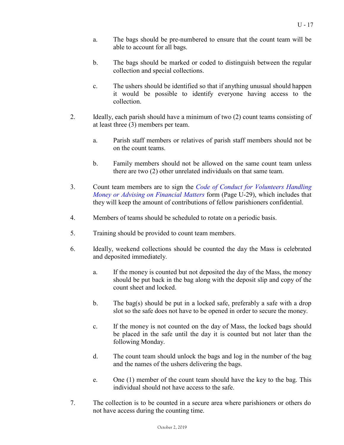- a. The bags should be pre-numbered to ensure that the count team will be able to account for all bags.
- b. The bags should be marked or coded to distinguish between the regular collection and special collections.
- c. The ushers should be identified so that if anything unusual should happen it would be possible to identify everyone having access to the collection.
- 2. Ideally, each parish should have a minimum of two (2) count teams consisting of at least three (3) members per team.
	- a. Parish staff members or relatives of parish staff members should not be on the count teams.
	- b. Family members should not be allowed on the same count team unless there are two (2) other unrelated individuals on that same team.
- 3. Count team members are to sign the *Code of Conduct for [Volunteers](#page-27-0) Handling Money or Advising on [Financial](#page-27-0) Matters* form (Page U-29), which includes that they will keep the amount of contributions of fellow parishioners confidential.
- 4. Members of teams should be scheduled to rotate on a periodic basis.
- 5. Training should be provided to count team members.
- 6. Ideally, weekend collections should be counted the day the Mass is celebrated and deposited immediately.
	- a. If the money is counted but not deposited the day of the Mass, the money should be put back in the bag along with the deposit slip and copy of the count sheet and locked.
	- b. The bag(s) should be put in a locked safe, preferably a safe with a drop slot so the safe does not have to be opened in order to secure the money.
	- c. If the money is not counted on the day of Mass, the locked bags should be placed in the safe until the day it is counted but not later than the following Monday.
	- d. The count team should unlock the bags and log in the number of the bag and the names of the ushers delivering the bags.
	- e. One (1) member of the count team should have the key to the bag. This individual should not have access to the safe.
- 7. The collection is to be counted in a secure area where parishioners or others do not have access during the counting time.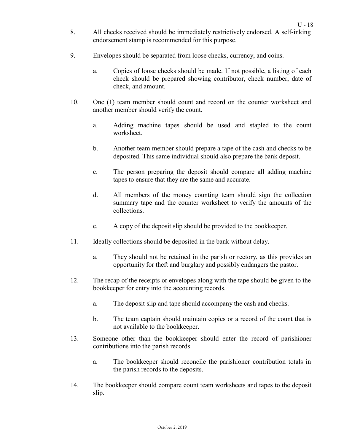- 8. All checks received should be immediately restrictively endorsed. A self-inking endorsement stamp is recommended for this purpose.
- 9. Envelopes should be separated from loose checks, currency, and coins.
	- a. Copies of loose checks should be made. If not possible, a listing of each check should be prepared showing contributor, check number, date of check, and amount.
- 10. One (1) team member should count and record on the counter worksheet and another member should verify the count.
	- a. Adding machine tapes should be used and stapled to the count worksheet.
	- b. Another team member should prepare a tape of the cash and checks to be deposited. This same individual should also prepare the bank deposit.
	- c. The person preparing the deposit should compare all adding machine tapes to ensure that they are the same and accurate.
	- d. All members of the money counting team should sign the collection summary tape and the counter worksheet to verify the amounts of the collections.
	- e. A copy of the deposit slip should be provided to the bookkeeper.
- 11. Ideally collections should be deposited in the bank without delay.
	- a. They should not be retained in the parish or rectory, as this provides an opportunity for theft and burglary and possibly endangers the pastor.
- 12. The recap of the receipts or envelopes along with the tape should be given to the bookkeeper for entry into the accounting records.
	- a. The deposit slip and tape should accompany the cash and checks.
	- b. The team captain should maintain copies or a record of the count that is not available to the bookkeeper.
- 13. Someone other than the bookkeeper should enter the record of parishioner contributions into the parish records.
	- a. The bookkeeper should reconcile the parishioner contribution totals in the parish records to the deposits.
- 14. The bookkeeper should compare count team worksheets and tapes to the deposit slip.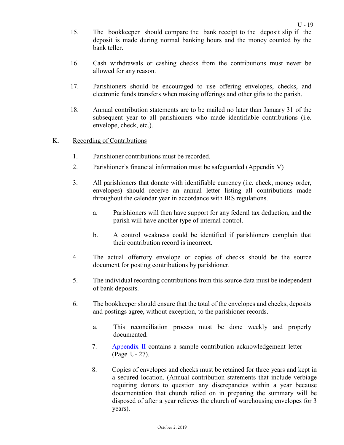- 15. The bookkeeper should compare the bank receipt to the deposit slip if the deposit is made during normal banking hours and the money counted by the bank teller.
- 16. Cash withdrawals or cashing checks from the contributions must never be allowed for any reason.
- 17. Parishioners should be encouraged to use offering envelopes, checks, and electronic funds transfers when making offerings and other gifts to the parish.
- 18. Annual contribution statements are to be mailed no later than January 31 of the subsequent year to all parishioners who made identifiable contributions (i.e. envelope, check, etc.).

### K. Recording of Contributions

- 1. Parishioner contributions must be recorded.
- 2. Parishioner's financial information must be safeguarded (Appendix V)
- 3. All parishioners that donate with identifiable currency (i.e. check, money order, envelopes) should receive an annual letter listing all contributions made throughout the calendar year in accordance with IRS regulations.
	- a. Parishioners will then have support for any federal tax deduction, and the parish will have another type of internal control.
	- b. A control weakness could be identified if parishioners complain that their contribution record is incorrect.
- 4. The actual offertory envelope or copies of checks should be the source document for posting contributions by parishioner.
- 5. The individual recording contributions from this source data must be independent of bank deposits.
- 6. The bookkeeper should ensure that the total of the envelopes and checks, deposits and postings agree, without exception, to the parishioner records.
	- a. This reconciliation process must be done weekly and properly documented.
	- 7. [Appendix](#page-25-0) II contains a sample contribution acknowledgement letter (Page U- 27).
	- 8. Copies of envelopes and checks must be retained for three years and kept in a secured location. (Annual contribution statements that include verbiage requiring donors to question any discrepancies within a year because documentation that church relied on in preparing the summary will be disposed of after a year relieves the church of warehousing envelopes for 3 years).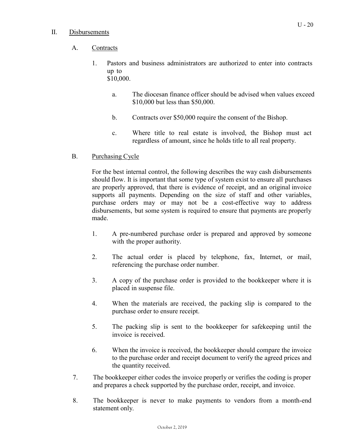### II. Disbursements

## A. Contracts

- 1. Pastors and business administrators are authorized to enter into contracts up to \$10,000.
	- a. The diocesan finance officer should be advised when values exceed \$10,000 but less than \$50,000.
	- b. Contracts over \$50,000 require the consent of the Bishop.
	- c. Where title to real estate is involved, the Bishop must act regardless of amount, since he holds title to all real property.
- B. Purchasing Cycle

For the best internal control, the following describes the way cash disbursements should flow. It is important that some type of system exist to ensure all purchases are properly approved, that there is evidence of receipt, and an original invoice supports all payments. Depending on the size of staff and other variables, purchase orders may or may not be a cost-effective way to address disbursements, but some system is required to ensure that payments are properly made.

- 1. A pre-numbered purchase order is prepared and approved by someone with the proper authority.
- 2. The actual order is placed by telephone, fax, Internet, or mail, referencing the purchase order number.
- 3. A copy of the purchase order is provided to the bookkeeper where it is placed in suspense file.
- 4. When the materials are received, the packing slip is compared to the purchase order to ensure receipt.
- 5. The packing slip is sent to the bookkeeper for safekeeping until the invoice is received.
- 6. When the invoice is received, the bookkeeper should compare the invoice to the purchase order and receipt document to verify the agreed prices and the quantity received.
- 7. The bookkeeper either codes the invoice properly or verifies the coding is proper and prepares a check supported by the purchase order, receipt, and invoice.
- 8. The bookkeeper is never to make payments to vendors from a month-end statement only.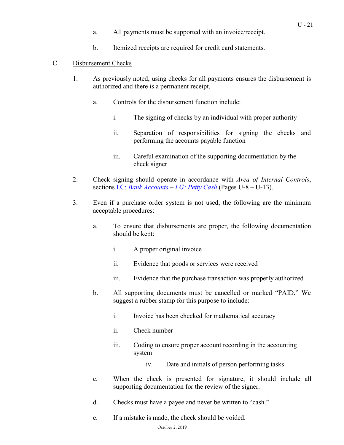- a. All payments must be supported with an invoice/receipt.
- b. Itemized receipts are required for credit card statements.

### C. Disbursement Checks

- 1. As previously noted, using checks for all payments ensures the disbursement is authorized and there is a permanent receipt.
	- a. Controls for the disbursement function include:
		- i. The signing of checks by an individual with proper authority
		- ii. Separation of responsibilities for signing the checks and performing the accounts payable function
		- iii. Careful examination of the supporting documentation by the check signer
- 2. Check signing should operate in accordance with *Area of Internal Controls*, sections I.C: *Bank [Accounts](#page-7-0)* – *I.G: Petty [Cash](#page-9-0)* (Pages U-8 – U-13).
- 3. Even if a purchase order system is not used, the following are the minimum acceptable procedures:
	- a. To ensure that disbursements are proper, the following documentation should be kept:
		- i. A proper original invoice
		- ii. Evidence that goods or services were received
		- iii. Evidence that the purchase transaction was properly authorized
	- b. All supporting documents must be cancelled or marked "PAID." We suggest a rubber stamp for this purpose to include:
		- i. Invoice has been checked for mathematical accuracy
		- ii. Check number
		- iii. Coding to ensure proper account recording in the accounting system
			- iv. Date and initials of person performing tasks
	- c. When the check is presented for signature, it should include all supporting documentation for the review of the signer.
	- d. Checks must have a payee and never be written to "cash."
	- e. If a mistake is made, the check should be voided.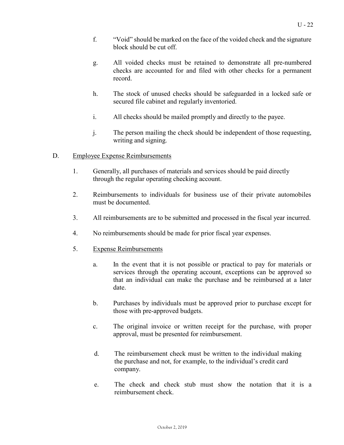- f. "Void" should be marked on the face of the voided check and the signature block should be cut off.
- g. All voided checks must be retained to demonstrate all pre-numbered checks are accounted for and filed with other checks for a permanent record.
- h. The stock of unused checks should be safeguarded in a locked safe or secured file cabinet and regularly inventoried.
- i. All checks should be mailed promptly and directly to the payee.
- j. The person mailing the check should be independent of those requesting, writing and signing.
- D. Employee Expense Reimbursements
	- 1. Generally, all purchases of materials and services should be paid directly through the regular operating checking account.
	- 2. Reimbursements to individuals for business use of their private automobiles must be documented.
	- 3. All reimbursements are to be submitted and processed in the fiscal year incurred.
	- 4. No reimbursements should be made for prior fiscal year expenses.
	- 5. Expense Reimbursements
		- a. In the event that it is not possible or practical to pay for materials or services through the operating account, exceptions can be approved so that an individual can make the purchase and be reimbursed at a later date.
		- b. Purchases by individuals must be approved prior to purchase except for those with pre-approved budgets.
		- c. The original invoice or written receipt for the purchase, with proper approval, must be presented for reimbursement.
		- d. The reimbursement check must be written to the individual making the purchase and not, for example, to the individual's credit card company.
		- e. The check and check stub must show the notation that it is a reimbursement check.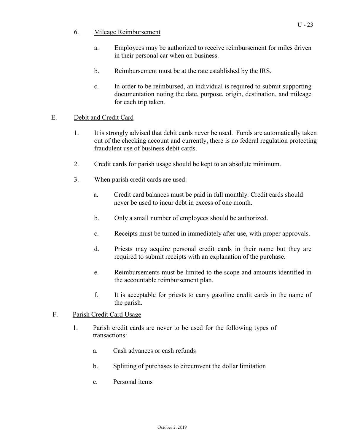- 6. Mileage Reimbursement
	- a. Employees may be authorized to receive reimbursement for miles driven in their personal car when on business.
	- b. Reimbursement must be at the rate established by the IRS.
	- c. In order to be reimbursed, an individual is required to submit supporting documentation noting the date, purpose, origin, destination, and mileage for each trip taken.

## E. Debit and Credit Card

- 1. It is strongly advised that debit cards never be used. Funds are automatically taken out of the checking account and currently, there is no federal regulation protecting fraudulent use of business debit cards.
- 2. Credit cards for parish usage should be kept to an absolute minimum.
- 3. When parish credit cards are used:
	- a. Credit card balances must be paid in full monthly. Credit cards should never be used to incur debt in excess of one month.
	- b. Only a small number of employees should be authorized.
	- c. Receipts must be turned in immediately after use, with proper approvals.
	- d. Priests may acquire personal credit cards in their name but they are required to submit receipts with an explanation of the purchase.
	- e. Reimbursements must be limited to the scope and amounts identified in the accountable reimbursement plan.
	- f. It is acceptable for priests to carry gasoline credit cards in the name of the parish.

## F. Parish Credit Card Usage

- 1. Parish credit cards are never to be used for the following types of transactions:
	- a. Cash advances or cash refunds
	- b. Splitting of purchases to circumvent the dollar limitation
	- c. Personal items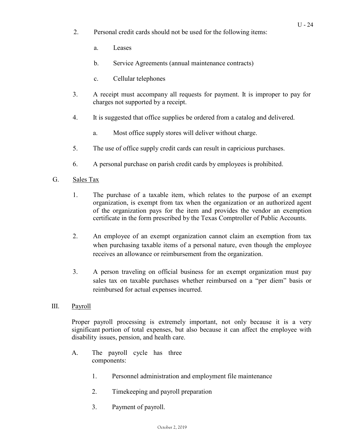- 2. Personal credit cards should not be used for the following items:
	- a. Leases
	- b. Service Agreements (annual maintenance contracts)
	- c. Cellular telephones
- 3. A receipt must accompany all requests for payment. It is improper to pay for charges not supported by a receipt.
- 4. It is suggested that office supplies be ordered from a catalog and delivered.
	- a. Most office supply stores will deliver without charge.
- 5. The use of office supply credit cards can result in capricious purchases.
- 6. A personal purchase on parish credit cards by employees is prohibited.
- G. Sales Tax
	- 1. The purchase of a taxable item, which relates to the purpose of an exempt organization, is exempt from tax when the organization or an authorized agent of the organization pays for the item and provides the vendor an exemption certificate in the form prescribed by the Texas Comptroller of Public Accounts.
	- 2. An employee of an exempt organization cannot claim an exemption from tax when purchasing taxable items of a personal nature, even though the employee receives an allowance or reimbursement from the organization.
	- 3. A person traveling on official business for an exempt organization must pay sales tax on taxable purchases whether reimbursed on a "per diem" basis or reimbursed for actual expenses incurred.
- III. Payroll

Proper payroll processing is extremely important, not only because it is a very significant portion of total expenses, but also because it can affect the employee with disability issues, pension, and health care.

- A. The payroll cycle has three components:
	- 1. Personnel administration and employment file maintenance
	- 2. Timekeeping and payroll preparation
	- 3. Payment of payroll.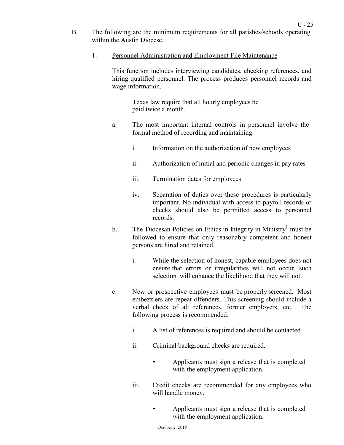- B. The following are the minimum requirements for all parishes/schools operating within the Austin Diocese.
	- 1. Personnel Administration and Employment File Maintenance

This function includes interviewing candidates, checking references, and hiring qualified personnel. The process produces personnel records and wage information.

Texas law require that all hourly employees be paid twice a month.

- a. The most important internal controls in personnel involve the formal method of recording and maintaining:
	- i. Information on the authorization of new employees
	- ii. Authorization of initial and periodic changes in pay rates
	- iii. Termination dates for employees
	- iv. Separation of duties over these procedures is particularly important. No individual with access to payroll records or checks should also be permitted access to personnel records.
- b. The Diocesan Policies on Ethics in Integrity in Ministry<sup>[1](#page-22-0)</sup> must be followed to ensure that only reasonably competent and honest persons are hired and retained.
	- i. While the selection of honest, capable employees does not ensure that errors or irregularities will not occur, such selection will enhance the likelihood that they will not.
- c. New or prospective employees must be properly screened. Most embezzlers are repeat offenders. This screening should include a verbal check of all references, former employers, etc. The following process is recommended:
	- i. A list of references is required and should be contacted.
	- ii. Criminal background checks are required.
		- Applicants must sign a release that is completed with the employment application.
	- iii. Credit checks are recommended for any employees who will handle money.
		- Applicants must sign a release that is completed with the employment application.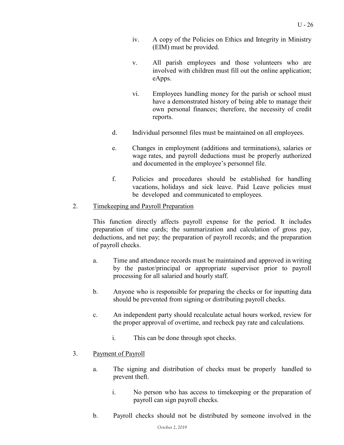- iv. A copy of the Policies on Ethics and Integrity in Ministry (EIM) must be provided.
- v. All parish employees and those volunteers who are involved with children must fill out the online application; eApps.
- vi. Employees handling money for the parish or school must have a demonstrated history of being able to manage their own personal finances; therefore, the necessity of credit reports.
- d. Individual personnel files must be maintained on all employees.
- e. Changes in employment (additions and terminations), salaries or wage rates, and payroll deductions must be properly authorized and documented in the employee's personnel file.
- f. Policies and procedures should be established for handling vacations, holidays and sick leave. Paid Leave policies must be developed and communicated to employees.

### <span id="page-22-0"></span>2. Timekeeping and Payroll Preparation

This function directly affects payroll expense for the period. It includes preparation of time cards; the summarization and calculation of gross pay, deductions, and net pay; the preparation of payroll records; and the preparation of payroll checks.

- a. Time and attendance records must be maintained and approved in writing by the pastor/principal or appropriate supervisor prior to payroll processing for all salaried and hourly staff.
- b. Anyone who is responsible for preparing the checks or for inputting data should be prevented from signing or distributing payroll checks.
- c. An independent party should recalculate actual hours worked, review for the proper approval of overtime, and recheck pay rate and calculations.
	- i. This can be done through spot checks.
- 3. Payment of Payroll
	- a. The signing and distribution of checks must be properly handled to prevent theft.
		- i. No person who has access to timekeeping or the preparation of payroll can sign payroll checks.
	- b. Payroll checks should not be distributed by someone involved in the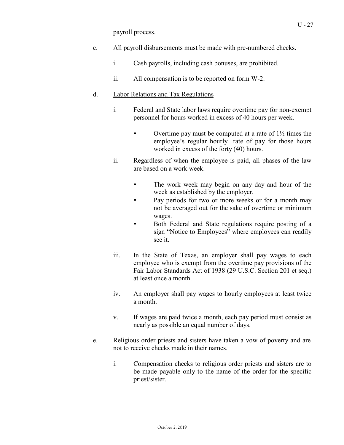payroll process.

- c. All payroll disbursements must be made with pre-numbered checks.
	- i. Cash payrolls, including cash bonuses, are prohibited.
	- ii. All compensation is to be reported on form W-2.

### d. Labor Relations and Tax Regulations

- i. Federal and State labor laws require overtime pay for non-exempt personnel for hours worked in excess of 40 hours per week.
	- Overtime pay must be computed at a rate of  $1\frac{1}{2}$  times the employee's regular hourly rate of pay for those hours worked in excess of the forty (40) hours.
- ii. Regardless of when the employee is paid, all phases of the law are based on a work week.
	- The work week may begin on any day and hour of the week as established by the employer.
	- Pay periods for two or more weeks or for a month may not be averaged out for the sake of overtime or minimum wages.
	- Both Federal and State regulations require posting of a sign "Notice to Employees" where employees can readily see it.
- iii. In the State of Texas, an employer shall pay wages to each employee who is exempt from the overtime pay provisions of the Fair Labor Standards Act of 1938 (29 U.S.C. Section 201 et seq.) at least once a month.
- iv. An employer shall pay wages to hourly employees at least twice a month.
- v. If wages are paid twice a month, each pay period must consist as nearly as possible an equal number of days.
- e. Religious order priests and sisters have taken a vow of poverty and are not to receive checks made in their names.
	- i. Compensation checks to religious order priests and sisters are to be made payable only to the name of the order for the specific priest/sister.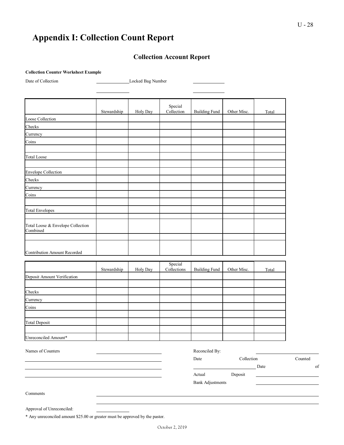# **Appendix I: Collection Count Report**

## **Collection Account Report**

#### **Collection Counter Worksheet Example**

Date of Collection Locked Bag Number

|                                               | Stewardship | Holy Day | Special<br>Collection  | <b>Building Fund</b> | Other Misc. | Total |
|-----------------------------------------------|-------------|----------|------------------------|----------------------|-------------|-------|
| Loose Collection                              |             |          |                        |                      |             |       |
| Checks                                        |             |          |                        |                      |             |       |
| Currency                                      |             |          |                        |                      |             |       |
| Coins                                         |             |          |                        |                      |             |       |
|                                               |             |          |                        |                      |             |       |
| <b>Total Loose</b>                            |             |          |                        |                      |             |       |
|                                               |             |          |                        |                      |             |       |
| <b>Envelope Collection</b>                    |             |          |                        |                      |             |       |
| Checks                                        |             |          |                        |                      |             |       |
| Currency                                      |             |          |                        |                      |             |       |
| Coins                                         |             |          |                        |                      |             |       |
|                                               |             |          |                        |                      |             |       |
| <b>Total Envelopes</b>                        |             |          |                        |                      |             |       |
|                                               |             |          |                        |                      |             |       |
| Total Loose & Envelope Collection<br>Combined |             |          |                        |                      |             |       |
|                                               |             |          |                        |                      |             |       |
|                                               |             |          |                        |                      |             |       |
| Contribution Amount Recorded                  |             |          |                        |                      |             |       |
|                                               |             |          |                        |                      |             |       |
|                                               | Stewardship | Holy Day | Special<br>Collections | <b>Building Fund</b> | Other Misc. | Total |
| Deposit Amount Verification                   |             |          |                        |                      |             |       |
|                                               |             |          |                        |                      |             |       |
| Checks                                        |             |          |                        |                      |             |       |
|                                               |             |          |                        |                      |             |       |

Currency Coins Total Deposit Unreconciled Amount\*

| Names of Counters |  | Reconciled By:          |            |      |         |
|-------------------|--|-------------------------|------------|------|---------|
|                   |  | Date                    | Collection |      | Counted |
|                   |  |                         |            | Date | of      |
|                   |  | Actual                  | Deposit    |      |         |
|                   |  | <b>Bank Adjustments</b> |            |      |         |
| Comments          |  |                         |            |      |         |
|                   |  |                         |            |      |         |
|                   |  |                         |            |      |         |

\* Any unreconciled amount \$25.00 or greater must be approved by the pastor.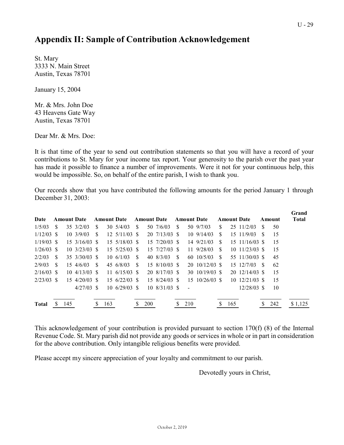# <span id="page-25-0"></span>**Appendix II: Sample of Contribution Acknowledgement**

St. Mary 3333 N. Main Street Austin, Texas 78701

January 15, 2004

Mr. & Mrs. John Doe 43 Heavens Gate Way Austin, Texas 78701

Dear Mr. & Mrs. Doe:

It is that time of the year to send out contribution statements so that you will have a record of your contributions to St. Mary for your income tax report. Your generosity to the parish over the past year has made it possible to finance a number of improvements. Were it not for your continuous help, this would be impossible. So, on behalf of the entire parish, I wish to thank you.

Our records show that you have contributed the following amounts for the period January 1 through December 31, 2003:

|              |               |     |                            |     |     |                                 |               |     |                                       |     |                    |                         |               |     |                            |          |        | Grand        |
|--------------|---------------|-----|----------------------------|-----|-----|---------------------------------|---------------|-----|---------------------------------------|-----|--------------------|-------------------------|---------------|-----|----------------------------|----------|--------|--------------|
| Date         |               |     | <b>Amount Date</b>         |     |     | <b>Amount Date</b>              |               |     | <b>Amount Date</b>                    |     | <b>Amount Date</b> |                         |               |     | <b>Amount Date</b>         |          | Amount | <b>Total</b> |
| 1/5/03       | \$.           |     | 35 3/2/03                  | S.  |     | $30 \frac{5}{4}/03$             | <sup>\$</sup> |     | 50 7/6/03                             | \$. |                    | 50 9/7/03               | \$.           |     | $25 \frac{11}{2} \cdot 03$ | S        | 50     |              |
| $1/12/03$ \$ |               |     | 10, 3/9/03                 | \$. |     | $12 \frac{5}{1103}$ \$          |               |     | $20, 7/13/03$ \$                      |     |                    | $10\ \frac{9}{14}{03}$  | <sup>\$</sup> |     | 15 11/9/03                 | <b>S</b> | 15     |              |
| $1/19/03$ \$ |               |     | $15 \frac{3}{16}$ /03 \$   |     |     | $15 \frac{5}{18}$ /03 \$        |               |     | $15 \frac{7}{20} \times 8$            |     |                    | 14 9/21/03              | -S            |     |                            |          | 15     |              |
| $1/26/03$ \$ |               |     | $10, 3/23/03$ \$           |     |     | $15 \frac{5}{25} \times 0.3$ \$ |               |     | $15 \frac{7}{2703}$ \$                |     |                    | 11 9/28/03              | -S            |     | $10 \frac{11}{2303}$ \$    |          | 15     |              |
| 2/2/03       | <sup>\$</sup> |     | $35 \frac{3}{30003}$ \$    |     |     | $10 \frac{6}{103}$              | -S            |     | 40 8/3/03                             | -S  |                    | 60 10/5/03              | <sup>\$</sup> |     | 55 11/30/03 \$             |          | 45     |              |
| 2/9/03       | <sup>\$</sup> |     | $15 \frac{4}{6} \times 3$  | -S  |     | 45 6/8/03                       | <sup>\$</sup> |     | $15\,8/10/03\,$ \$                    |     |                    | $20 \frac{10}{1203}$ \$ |               |     | $15 \frac{12}{703}$ \$     |          | 62     |              |
| $2/16/03$ \$ |               |     | $10 \frac{4}{13/03}$ \$    |     |     | $11 \frac{6}{15/03}$ \$         |               |     | $20\;8/17/03\;$ \$                    |     |                    | $30 \frac{10}{1903}$ \$ |               |     | $20 \frac{12}{14}$ /03 \$  |          | 15     |              |
| $2/23/03$ \$ |               |     | $15 \frac{4}{20} \times 8$ |     |     | $15\ \frac{6}{22}{03}$ \$       |               |     | $15 \frac{8}{24} \div 03 \frac{8}{5}$ |     |                    |                         |               |     | $10 \frac{12}{2103}$ \$    |          | 15     |              |
|              |               |     | $4/27/03$ \$               |     |     | $10, 6/29/03$ \$                |               |     | $10\;8/31/03\;$ \$                    |     |                    |                         |               |     | $12/28/03$ \$              |          | 10     |              |
|              |               |     |                            |     |     |                                 |               |     |                                       |     |                    |                         |               |     |                            |          |        |              |
| <b>Total</b> |               | 145 |                            | S   | 163 |                                 |               | 200 |                                       | S.  | 210                |                         |               | 165 |                            | S        | 242    | \$1,125      |

This acknowledgement of your contribution is provided pursuant to section 170(f) (8) of the Internal Revenue Code. St. Mary parish did not provide any goods or services in whole or in part in consideration for the above contribution. Only intangible religious benefits were provided.

Please accept my sincere appreciation of your loyalty and commitment to our parish.

Devotedly yours in Christ,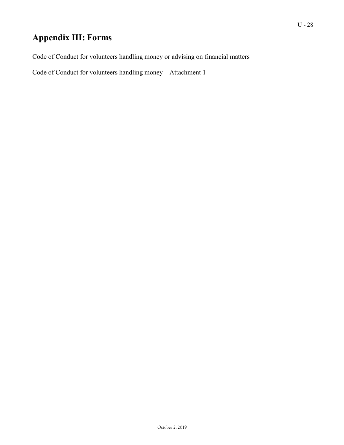# **Appendix III: Forms**

Code of Conduct for volunteers handling money or advising on financial matters

Code of Conduct for volunteers handling money – Attachment 1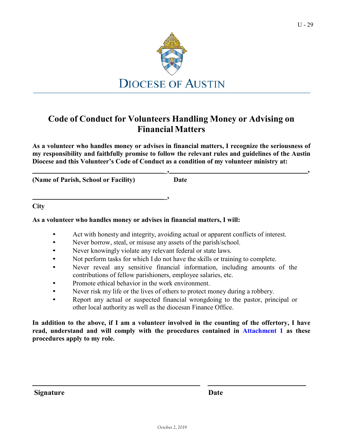

# <span id="page-27-0"></span>**Code of Conduct for Volunteers Handling Money or Advising on Financial Matters**

**As a volunteer who handles money or advises in financial matters, I recognize the seriousness of my responsibility and faithfully promise to follow the relevant rules and guidelines of the Austin Diocese and this Volunteer's Code of Conduct as a condition of my volunteer ministry at:**

**(Name of Parish, School or Facility) Date**

**\_, ,**

**City**

### **As a volunteer who handles money or advises in financial matters, I will:**

• Act with honesty and integrity, avoiding actual or apparent conflicts of interest.

**\_,**

- Never borrow, steal, or misuse any assets of the parish/school.
- Never knowingly violate any relevant federal or state laws.
- Not perform tasks for which I do not have the skills or training to complete.
- Never reveal any sensitive financial information, including amounts of the contributions of fellow parishioners, employee salaries, etc.
- Promote ethical behavior in the work environment.
- Never risk my life or the lives of others to protect money during a robbery.
- Report any actual or suspected financial wrongdoing to the pastor, principal or other local authority as well as the diocesan Finance Office.

In addition to the above, if I am a volunteer involved in the counting of the offertory, I have **read, understand and will comply with the procedures contained in [Attachment](#page-28-0) 1 as these procedures apply to my role.**

**Signature Date**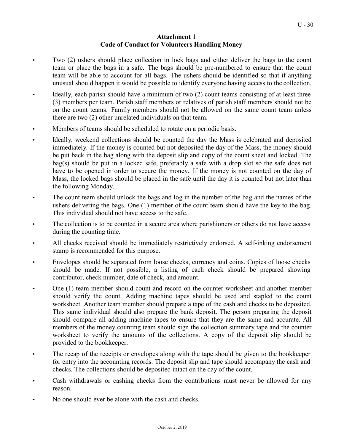### **Attachment 1 Code of Conduct for Volunteers Handling Money**

- <span id="page-28-0"></span>• Two (2) ushers should place collection in lock bags and either deliver the bags to the count team or place the bags in a safe. The bags should be pre-numbered to ensure that the count team will be able to account for all bags. The ushers should be identified so that if anything unusual should happen it would be possible to identify everyone having access to the collection.
- Ideally, each parish should have a minimum of two (2) count teams consisting of at least three (3) members per team. Parish staff members or relatives of parish staff members should not be on the count teams. Family members should not be allowed on the same count team unless there are two (2) other unrelated individuals on that team.
- Members of teams should be scheduled to rotate on a periodic basis.
- Ideally, weekend collections should be counted the day the Mass is celebrated and deposited immediately. If the money is counted but not deposited the day of the Mass, the money should be put back in the bag along with the deposit slip and copy of the count sheet and locked. The bag(s) should be put in a locked safe, preferably a safe with a drop slot so the safe does not have to be opened in order to secure the money. If the money is not counted on the day of Mass, the locked bags should be placed in the safe until the day it is counted but not later than the following Monday.
- The count team should unlock the bags and log in the number of the bag and the names of the ushers delivering the bags. One (1) member of the count team should have the key to the bag. This individual should not have access to the safe.
- The collection is to be counted in a secure area where parishioners or others do not have access during the counting time.
- All checks received should be immediately restrictively endorsed. A self-inking endorsement stamp is recommended for this purpose.
- Envelopes should be separated from loose checks, currency and coins. Copies of loose checks should be made. If not possible, a listing of each check should be prepared showing contributor, check number, date of check, and amount.
- One (1) team member should count and record on the counter worksheet and another member should verify the count. Adding machine tapes should be used and stapled to the count worksheet. Another team member should prepare a tape of the cash and checks to be deposited. This same individual should also prepare the bank deposit. The person preparing the deposit should compare all adding machine tapes to ensure that they are the same and accurate. All members of the money counting team should sign the collection summary tape and the counter worksheet to verify the amounts of the collections. A copy of the deposit slip should be provided to the bookkeeper.
- The recap of the receipts or envelopes along with the tape should be given to the bookkeeper for entry into the accounting records. The deposit slip and tape should accompany the cash and checks. The collections should be deposited intact on the day of the count.
- Cash withdrawals or cashing checks from the contributions must never be allowed for any reason.
- No one should ever be alone with the cash and checks.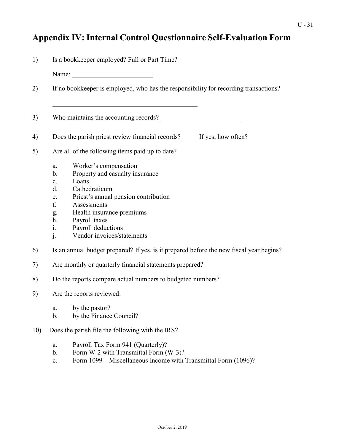# <span id="page-29-0"></span>**Appendix IV: Internal Control Questionnaire Self-Evaluation Form**

| 1)<br>Is a bookkeeper employed? Full or Part Time? |                                                                                                                                                                                                                                                                                                                                 |  |  |  |  |  |  |  |  |
|----------------------------------------------------|---------------------------------------------------------------------------------------------------------------------------------------------------------------------------------------------------------------------------------------------------------------------------------------------------------------------------------|--|--|--|--|--|--|--|--|
|                                                    | Name:                                                                                                                                                                                                                                                                                                                           |  |  |  |  |  |  |  |  |
| 2)                                                 | If no bookkeeper is employed, who has the responsibility for recording transactions?                                                                                                                                                                                                                                            |  |  |  |  |  |  |  |  |
| 3)                                                 |                                                                                                                                                                                                                                                                                                                                 |  |  |  |  |  |  |  |  |
| 4)                                                 | Does the parish priest review financial records? If yes, how often?                                                                                                                                                                                                                                                             |  |  |  |  |  |  |  |  |
| 5)                                                 | Are all of the following items paid up to date?                                                                                                                                                                                                                                                                                 |  |  |  |  |  |  |  |  |
|                                                    | Worker's compensation<br>a.<br>Property and casualty insurance<br>b.<br>Loans<br>$\mathbf{c}$ .<br>Cathedraticum<br>d.<br>Priest's annual pension contribution<br>e.<br>f.<br>Assessments<br>Health insurance premiums<br>g.<br>h.<br>Payroll taxes<br>Payroll deductions<br>1.<br>Vendor invoices/statements<br>$\mathbf{i}$ . |  |  |  |  |  |  |  |  |
| 6)                                                 | Is an annual budget prepared? If yes, is it prepared before the new fiscal year begins?                                                                                                                                                                                                                                         |  |  |  |  |  |  |  |  |
| 7)                                                 | Are monthly or quarterly financial statements prepared?                                                                                                                                                                                                                                                                         |  |  |  |  |  |  |  |  |
| 8)                                                 | Do the reports compare actual numbers to budgeted numbers?                                                                                                                                                                                                                                                                      |  |  |  |  |  |  |  |  |
| 9)                                                 | Are the reports reviewed:                                                                                                                                                                                                                                                                                                       |  |  |  |  |  |  |  |  |
|                                                    | by the pastor?<br>a.<br>by the Finance Council?<br>b.                                                                                                                                                                                                                                                                           |  |  |  |  |  |  |  |  |
| 10)                                                | Does the parish file the following with the IRS?                                                                                                                                                                                                                                                                                |  |  |  |  |  |  |  |  |
|                                                    | Payroll Tax Form 941 (Quarterly)?<br>a.                                                                                                                                                                                                                                                                                         |  |  |  |  |  |  |  |  |

- b. Form W-2 with Transmittal Form (W-3)?
- c. Form 1099 Miscellaneous Income with Transmittal Form (1096)?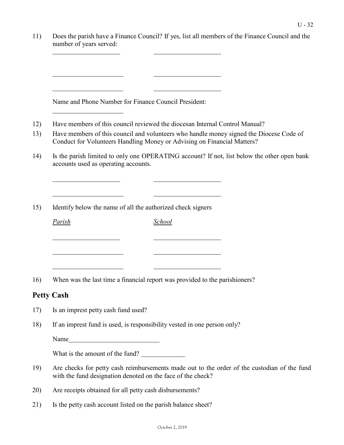| 11) | Does the parish have a Finance Council? If yes, list all members of the Finance Council and the<br>number of years served:                                         |
|-----|--------------------------------------------------------------------------------------------------------------------------------------------------------------------|
|     |                                                                                                                                                                    |
|     |                                                                                                                                                                    |
|     | Name and Phone Number for Finance Council President:                                                                                                               |
| 12) | Have members of this council reviewed the diocesan Internal Control Manual?                                                                                        |
| 13) | Have members of this council and volunteers who handle money signed the Diocese Code of<br>Conduct for Volunteers Handling Money or Advising on Financial Matters? |
| 14) | Is the parish limited to only one OPERATING account? If not, list below the other open bank<br>accounts used as operating accounts.                                |
| 15) | Identify below the name of all the authorized check signers                                                                                                        |
|     | Parish<br><b>School</b>                                                                                                                                            |
|     |                                                                                                                                                                    |
|     |                                                                                                                                                                    |
| 16) | When was the last time a financial report was provided to the parishioners?                                                                                        |
|     | <b>Petty Cash</b>                                                                                                                                                  |
| 17) | Is an imprest petty cash fund used?                                                                                                                                |
| 18) | If an imprest fund is used, is responsibility vested in one person only?                                                                                           |
|     | Name                                                                                                                                                               |
|     | What is the amount of the fund?                                                                                                                                    |
| 19) | Are checks for petty cash reimbursements made out to the order of the custodian of the fund<br>with the fund designation denoted on the face of the check?         |
| 20) | Are receipts obtained for all petty cash disbursements?                                                                                                            |
| 21) | Is the petty cash account listed on the parish balance sheet?                                                                                                      |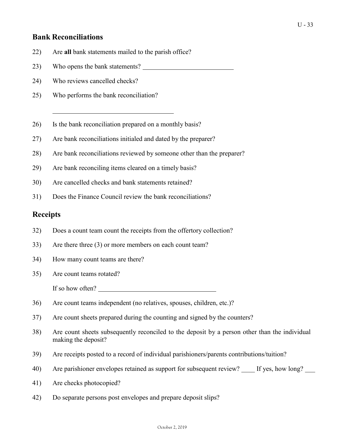## **Bank Reconciliations**

- 22) Are **all** bank statements mailed to the parish office?
- 23) Who opens the bank statements?
- 24) Who reviews cancelled checks?
- 25) Who performs the bank reconciliation?
- 26) Is the bank reconciliation prepared on a monthly basis?
- 27) Are bank reconciliations initialed and dated by the preparer?
- 28) Are bank reconciliations reviewed by someone other than the preparer?
- 29) Are bank reconciling items cleared on a timely basis?
- 30) Are cancelled checks and bank statements retained?
- 31) Does the Finance Council review the bank reconciliations?

## **Receipts**

- 32) Does a count team count the receipts from the offertory collection?
- 33) Are there three (3) or more members on each count team?
- 34) How many count teams are there?
- 35) Are count teams rotated?
	- If so how often?
- 36) Are count teams independent (no relatives, spouses, children, etc.)?
- 37) Are count sheets prepared during the counting and signed by the counters?
- 38) Are count sheets subsequently reconciled to the deposit by a person other than the individual making the deposit?
- 39) Are receipts posted to a record of individual parishioners/parents contributions/tuition?
- 40) Are parishioner envelopes retained as support for subsequent review? If yes, how long?
- 41) Are checks photocopied?
- 42) Do separate persons post envelopes and prepare deposit slips?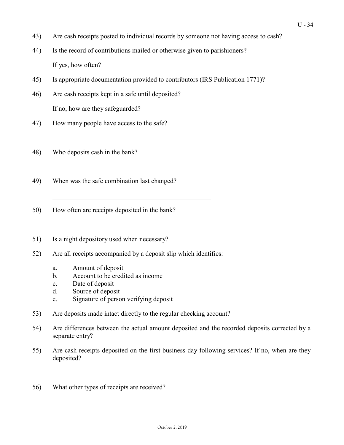- 43) Are cash receipts posted to individual records by someone not having access to cash?
- 44) Is the record of contributions mailed or otherwise given to parishioners? If yes, how often?
- 45) Is appropriate documentation provided to contributors (IRS Publication 1771)?
- 46) Are cash receipts kept in a safe until deposited? If no, how are they safeguarded?
- 47) How many people have access to the safe?
- 48) Who deposits cash in the bank?
- 49) When was the safe combination last changed?
- 50) How often are receipts deposited in the bank?
- 51) Is a night depository used when necessary?
- 52) Are all receipts accompanied by a deposit slip which identifies:
	- a. Amount of deposit
	- b. Account to be credited as income
	- c. Date of deposit
	- d. Source of deposit
	- e. Signature of person verifying deposit
- 53) Are deposits made intact directly to the regular checking account?
- 54) Are differences between the actual amount deposited and the recorded deposits corrected by a separate entry?
- 55) Are cash receipts deposited on the first business day following services? If no, when are they deposited?
- 56) What other types of receipts are received?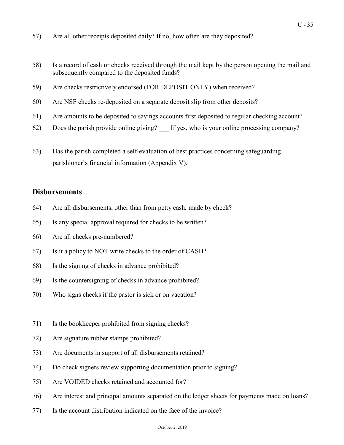- 57) Are all other receipts deposited daily? If no, how often are they deposited?
- 58) Is a record of cash or checks received through the mail kept by the person opening the mail and subsequently compared to the deposited funds?
- 59) Are checks restrictively endorsed (FOR DEPOSIT ONLY) when received?
- 60) Are NSF checks re-deposited on a separate deposit slip from other deposits?
- 61) Are amounts to be deposited to savings accounts first deposited to regular checking account?
- 62) Does the parish provide online giving? If yes, who is your online processing company?
- 63) Has the parish completed a self-evaluation of best practices concerning safeguarding parishioner's financial information (Appendix V).

## **Disbursements**

- 64) Are all disbursements, other than from petty cash, made by check?
- 65) Is any special approval required for checks to be written?
- 66) Are all checks pre-numbered?

 $\overline{\phantom{a}}$ 

- 67) Is it a policy to NOT write checks to the order of CASH?
- 68) Is the signing of checks in advance prohibited?
- 69) Is the countersigning of checks in advance prohibited?
- 70) Who signs checks if the pastor is sick or on vacation?
- 71) Is the bookkeeper prohibited from signing checks?
- 72) Are signature rubber stamps prohibited?
- 73) Are documents in support of all disbursements retained?
- 74) Do check signers review supporting documentation prior to signing?
- 75) Are VOIDED checks retained and accounted for?
- 76) Are interest and principal amounts separated on the ledger sheets for payments made on loans?
- 77) Is the account distribution indicated on the face of the invoice?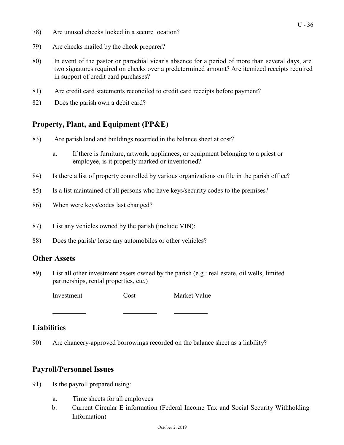- 78) Are unused checks locked in a secure location?
- 79) Are checks mailed by the check preparer?
- 80) In event of the pastor or parochial vicar's absence for a period of more than several days, are two signatures required on checks over a predetermined amount? Are itemized receipts required in support of credit card purchases?
- 81) Are credit card statements reconciled to credit card receipts before payment?
- 82) Does the parish own a debit card?

## **Property, Plant, and Equipment (PP&E)**

- 83) Are parish land and buildings recorded in the balance sheet at cost?
	- a. If there is furniture, artwork, appliances, or equipment belonging to a priest or employee, is it properly marked or inventoried?
- 84) Is there a list of property controlled by various organizations on file in the parish office?
- 85) Is a list maintained of all persons who have keys/security codes to the premises?
- 86) When were keys/codes last changed?
- 87) List any vehicles owned by the parish (include VIN):
- 88) Does the parish/ lease any automobiles or other vehicles?

### **Other Assets**

89) List all other investment assets owned by the parish (e.g.: real estate, oil wells, limited partnerships, rental properties, etc.)

Investment Cost Market Value

## **Liabilities**

90) Are chancery-approved borrowings recorded on the balance sheet as a liability?

## **Payroll/Personnel Issues**

- 91) Is the payroll prepared using:
	- a. Time sheets for all employees
	- b. Current Circular E information (Federal Income Tax and Social Security Withholding Information)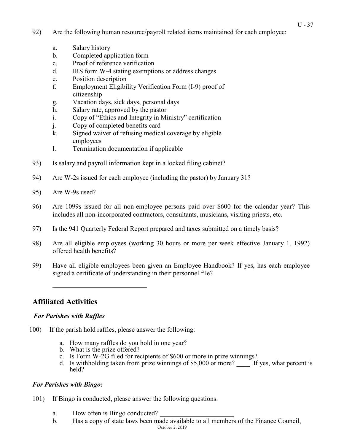- 92) Are the following human resource/payroll related items maintained for each employee:
	- a. Salary history
	- b. Completed application form
	- c. Proof of reference verification
	- d. IRS form W-4 stating exemptions or address changes
	- e. Position description
	- f. Employment Eligibility Verification Form (I-9) proof of citizenship
	- g. Vacation days, sick days, personal days
	- h. Salary rate, approved by the pastor
	- i. Copy of "Ethics and Integrity in Ministry" certification
	- j. Copy of completed benefits card
	- k. Signed waiver of refusing medical coverage by eligible employees
	- l. Termination documentation if applicable
- 93) Is salary and payroll information kept in a locked filing cabinet?
- 94) Are W-2s issued for each employee (including the pastor) by January 31?
- 95) Are W-9s used?
- 96) Are 1099s issued for all non-employee persons paid over \$600 for the calendar year? This includes all non-incorporated contractors, consultants, musicians, visiting priests, etc.
- 97) Is the 941 Quarterly Federal Report prepared and taxes submitted on a timely basis?
- 98) Are all eligible employees (working 30 hours or more per week effective January 1, 1992) offered health benefits?
- 99) Have all eligible employees been given an Employee Handbook? If yes, has each employee signed a certificate of understanding in their personnel file?

## **Affiliated Activities**

## *For Parishes with Raffles*

- 100) If the parish hold raffles, please answer the following:
	- a. How many raffles do you hold in one year?
	- b. What is the prize offered?
	- c. Is Form W-2G filed for recipients of  $$600$  or more in prize winnings?
	- d. Is withholding taken from prize winnings of  $$5,000$  or more? If yes, what percent is held?

## *For Parishes with Bingo:*

- 101) If Bingo is conducted, please answer the following questions.
	- a. How often is Bingo conducted?
	- b. Has a copy of state laws been made available to all members of the Finance Council,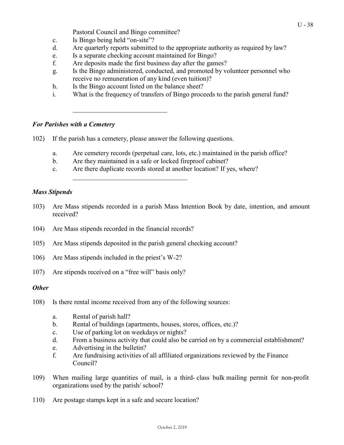Pastoral Council and Bingo committee?

- c. Is Bingo being held "on-site"?
- d. Are quarterly reports submitted to the appropriate authority as required by law?
- e. Is a separate checking account maintained for Bingo?
- f. Are deposits made the first business day after the games?
- g. Is the Bingo administered, conducted, and promoted by volunteer personnel who receive no remuneration of any kind (even tuition)?
- h. Is the Bingo account listed on the balance sheet?
- i. What is the frequency of transfers of Bingo proceeds to the parish general fund?

### *For Parishes with a Cemetery*

- 102) If the parish has a cemetery, please answer the following questions.
	- a. Are cemetery records (perpetual care, lots, etc.) maintained in the parish office?
	- b. Are they maintained in a safe or locked fireproof cabinet?
	- c. Are there duplicate records stored at another location? If yes, where?

### *Mass Stipends*

- 103) Are Mass stipends recorded in a parish Mass Intention Book by date, intention, and amount received?
- 104) Are Mass stipends recorded in the financial records?
- 105) Are Mass stipends deposited in the parish general checking account?
- 106) Are Mass stipends included in the priest's W-2?
- 107) Are stipends received on a "free will" basis only?

### *Other*

- 108) Is there rental income received from any of the following sources:
	- a. Rental of parish hall?
	- b. Rental of buildings (apartments, houses, stores, offices, etc.)?
	- c. Use of parking lot on weekdays or nights?
	- d. From a business activity that could also be carried on by a commercial establishment?
	- e. Advertising in the bulletin?
	- f. Are fundraising activities of all affiliated organizations reviewed by the Finance Council?
- 109) When mailing large quantities of mail, is a third- class bulk mailing permit for non-profit organizations used by the parish/ school?
- 110) Are postage stamps kept in a safe and secure location?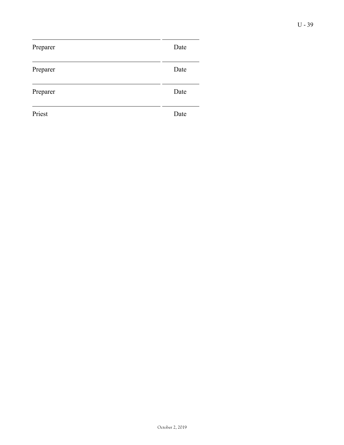| Preparer | Date |
|----------|------|
| Preparer | Date |
| Preparer | Date |
| Priest   | Date |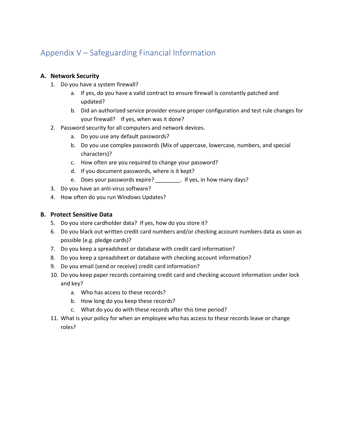# Appendix V – Safeguarding Financial Information

## **A. Network Security**

- 1. Do you have a system firewall?
	- a. If yes, do you have a valid contract to ensure firewall is constantly patched and updated?
	- b. Did an authorized service provider ensure proper configuration and test rule changes for your firewall? If yes, when was it done?
- 2. Password security for all computers and network devices.
	- a. Do you use any default passwords?
	- b. Do you use complex passwords (Mix of uppercase, lowercase, numbers, and special characters)?
	- c. How often are you required to change your password?
	- d. If you document passwords, where is it kept?
	- e. Does your passwords expire? \_\_\_\_\_\_\_\_. If yes, in how many days?
- 3. Do you have an anti-virus software?
- 4. How often do you run Windows Updates?

### **B. Protect Sensitive Data**

- 5. Do you store cardholder data? If yes, how do you store it?
- 6. Do you black out written credit card numbers and/or checking account numbers data as soon as possible (e.g. pledge cards)?
- 7. Do you keep a spreadsheet or database with credit card information?
- 8. Do you keep a spreadsheet or database with checking account information?
- 9. Do you email (send or receive) credit card information?
- 10. Do you keep paper records containing credit card and checking account information under lock and key?
	- a. Who has access to these records?
	- b. How long do you keep these records?
	- c. What do you do with these records after this time period?
- 11. What is your policy for when an employee who has access to these records leave or change roles?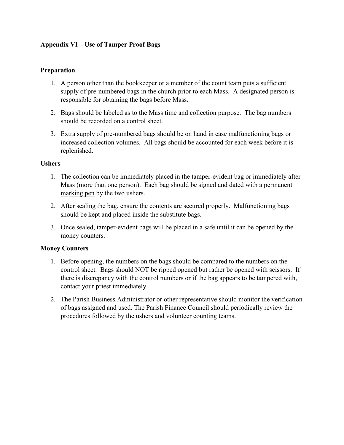## **Appendix VI – Use of Tamper Proof Bags**

### **Preparation**

- 1. A person other than the bookkeeper or a member of the count team puts a sufficient supply of pre-numbered bags in the church prior to each Mass. A designated person is responsible for obtaining the bags before Mass.
- 2. Bags should be labeled as to the Mass time and collection purpose. The bag numbers should be recorded on a control sheet.
- 3. Extra supply of pre-numbered bags should be on hand in case malfunctioning bags or increased collection volumes. All bags should be accounted for each week before it is replenished.

### **Ushers**

- 1. The collection can be immediately placed in the tamper-evident bag or immediately after Mass (more than one person). Each bag should be signed and dated with a permanent marking pen by the two ushers.
- 2. After sealing the bag, ensure the contents are secured properly. Malfunctioning bags should be kept and placed inside the substitute bags.
- 3. Once sealed, tamper-evident bags will be placed in a safe until it can be opened by the money counters.

## **Money Counters**

- 1. Before opening, the numbers on the bags should be compared to the numbers on the control sheet. Bags should NOT be ripped opened but rather be opened with scissors. If there is discrepancy with the control numbers or if the bag appears to be tampered with, contact your priest immediately.
- 2. The Parish Business Administrator or other representative should monitor the verification of bags assigned and used. The Parish Finance Council should periodically review the procedures followed by the ushers and volunteer counting teams.